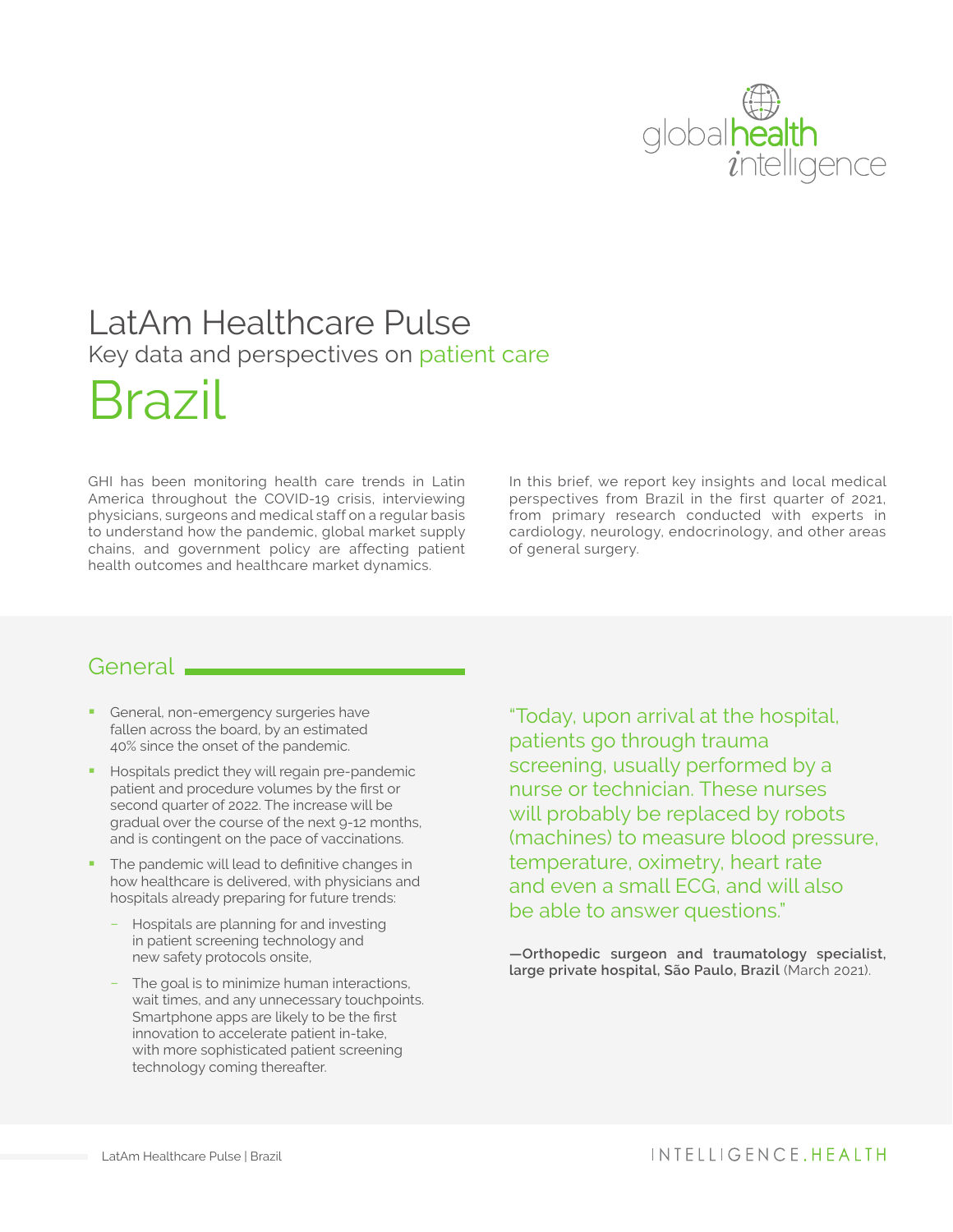

## LatAm Healthcare Pulse Key data and perspectives on patient care

# Brazil

GHI has been monitoring health care trends in Latin America throughout the COVID-19 crisis, interviewing physicians, surgeons and medical staff on a regular basis to understand how the pandemic, global market supply chains, and government policy are affecting patient health outcomes and healthcare market dynamics.

In this brief, we report key insights and local medical perspectives from Brazil in the first quarter of 2021, from primary research conducted with experts in cardiology, neurology, endocrinology, and other areas of general surgery.

#### General.

- **•** General, non-emergency surgeries have fallen across the board, by an estimated 40% since the onset of the pandemic.
- **Hospitals predict they will regain pre-pandemic** patient and procedure volumes by the first or second quarter of 2022. The increase will be gradual over the course of the next 9-12 months, and is contingent on the pace of vaccinations.
- The pandemic will lead to definitive changes in how healthcare is delivered, with physicians and hospitals already preparing for future trends:
	- − Hospitals are planning for and investing in patient screening technology and new safety protocols onsite,
	- −− The goal is to minimize human interactions, wait times, and any unnecessary touchpoints. Smartphone apps are likely to be the first innovation to accelerate patient in-take, with more sophisticated patient screening technology coming thereafter.

"Today, upon arrival at the hospital, patients go through trauma screening, usually performed by a nurse or technician. These nurses will probably be replaced by robots (machines) to measure blood pressure, temperature, oximetry, heart rate and even a small ECG, and will also be able to answer questions."

**—Orthopedic surgeon and traumatology specialist, large private hospital, São Paulo, Brazil** (March 2021).